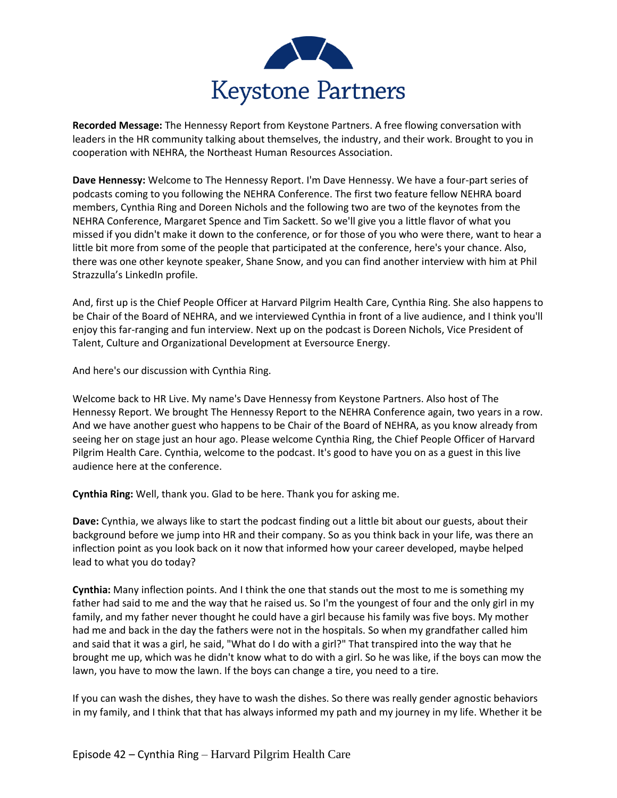

**Recorded Message:** The Hennessy Report from Keystone Partners. A free flowing conversation with leaders in the HR community talking about themselves, the industry, and their work. Brought to you in cooperation with NEHRA, the Northeast Human Resources Association.

**Dave Hennessy:** Welcome to The Hennessy Report. I'm Dave Hennessy. We have a four-part series of podcasts coming to you following the NEHRA Conference. The first two feature fellow NEHRA board members, Cynthia Ring and Doreen Nichols and the following two are two of the keynotes from the NEHRA Conference, Margaret Spence and Tim Sackett. So we'll give you a little flavor of what you missed if you didn't make it down to the conference, or for those of you who were there, want to hear a little bit more from some of the people that participated at the conference, here's your chance. Also, there was one other keynote speaker, Shane Snow, and you can find another interview with him at Phil Strazzulla's LinkedIn profile.

And, first up is the Chief People Officer at Harvard Pilgrim Health Care, Cynthia Ring. She also happens to be Chair of the Board of NEHRA, and we interviewed Cynthia in front of a live audience, and I think you'll enjoy this far-ranging and fun interview. Next up on the podcast is Doreen Nichols, Vice President of Talent, Culture and Organizational Development at Eversource Energy.

And here's our discussion with Cynthia Ring.

Welcome back to HR Live. My name's Dave Hennessy from Keystone Partners. Also host of The Hennessy Report. We brought The Hennessy Report to the NEHRA Conference again, two years in a row. And we have another guest who happens to be Chair of the Board of NEHRA, as you know already from seeing her on stage just an hour ago. Please welcome Cynthia Ring, the Chief People Officer of Harvard Pilgrim Health Care. Cynthia, welcome to the podcast. It's good to have you on as a guest in this live audience here at the conference.

**Cynthia Ring:** Well, thank you. Glad to be here. Thank you for asking me.

**Dave:** Cynthia, we always like to start the podcast finding out a little bit about our guests, about their background before we jump into HR and their company. So as you think back in your life, was there an inflection point as you look back on it now that informed how your career developed, maybe helped lead to what you do today?

**Cynthia:** Many inflection points. And I think the one that stands out the most to me is something my father had said to me and the way that he raised us. So I'm the youngest of four and the only girl in my family, and my father never thought he could have a girl because his family was five boys. My mother had me and back in the day the fathers were not in the hospitals. So when my grandfather called him and said that it was a girl, he said, "What do I do with a girl?" That transpired into the way that he brought me up, which was he didn't know what to do with a girl. So he was like, if the boys can mow the lawn, you have to mow the lawn. If the boys can change a tire, you need to a tire.

If you can wash the dishes, they have to wash the dishes. So there was really gender agnostic behaviors in my family, and I think that that has always informed my path and my journey in my life. Whether it be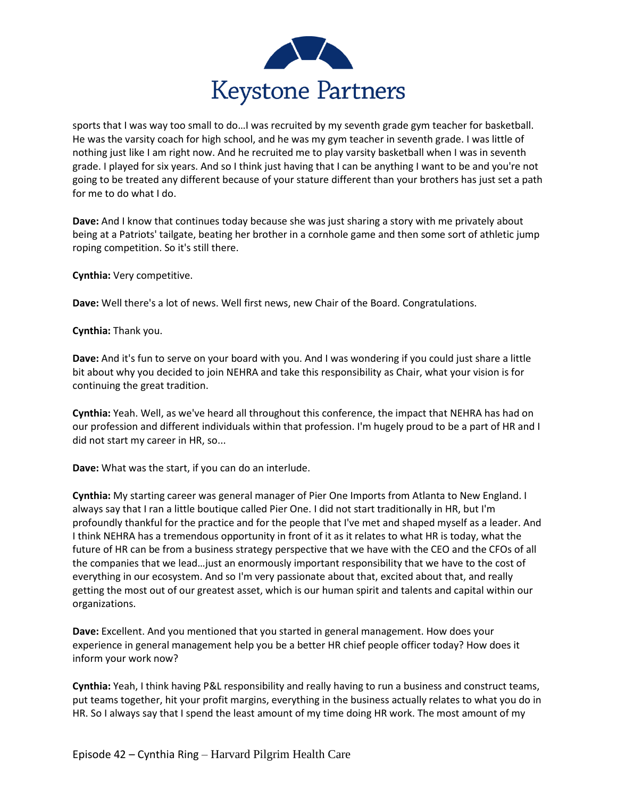

sports that I was way too small to do…I was recruited by my seventh grade gym teacher for basketball. He was the varsity coach for high school, and he was my gym teacher in seventh grade. I was little of nothing just like I am right now. And he recruited me to play varsity basketball when I was in seventh grade. I played for six years. And so I think just having that I can be anything I want to be and you're not going to be treated any different because of your stature different than your brothers has just set a path for me to do what I do.

**Dave:** And I know that continues today because she was just sharing a story with me privately about being at a Patriots' tailgate, beating her brother in a cornhole game and then some sort of athletic jump roping competition. So it's still there.

**Cynthia:** Very competitive.

**Dave:** Well there's a lot of news. Well first news, new Chair of the Board. Congratulations.

**Cynthia:** Thank you.

**Dave:** And it's fun to serve on your board with you. And I was wondering if you could just share a little bit about why you decided to join NEHRA and take this responsibility as Chair, what your vision is for continuing the great tradition.

**Cynthia:** Yeah. Well, as we've heard all throughout this conference, the impact that NEHRA has had on our profession and different individuals within that profession. I'm hugely proud to be a part of HR and I did not start my career in HR, so...

**Dave:** What was the start, if you can do an interlude.

**Cynthia:** My starting career was general manager of Pier One Imports from Atlanta to New England. I always say that I ran a little boutique called Pier One. I did not start traditionally in HR, but I'm profoundly thankful for the practice and for the people that I've met and shaped myself as a leader. And I think NEHRA has a tremendous opportunity in front of it as it relates to what HR is today, what the future of HR can be from a business strategy perspective that we have with the CEO and the CFOs of all the companies that we lead…just an enormously important responsibility that we have to the cost of everything in our ecosystem. And so I'm very passionate about that, excited about that, and really getting the most out of our greatest asset, which is our human spirit and talents and capital within our organizations.

**Dave:** Excellent. And you mentioned that you started in general management. How does your experience in general management help you be a better HR chief people officer today? How does it inform your work now?

**Cynthia:** Yeah, I think having P&L responsibility and really having to run a business and construct teams, put teams together, hit your profit margins, everything in the business actually relates to what you do in HR. So I always say that I spend the least amount of my time doing HR work. The most amount of my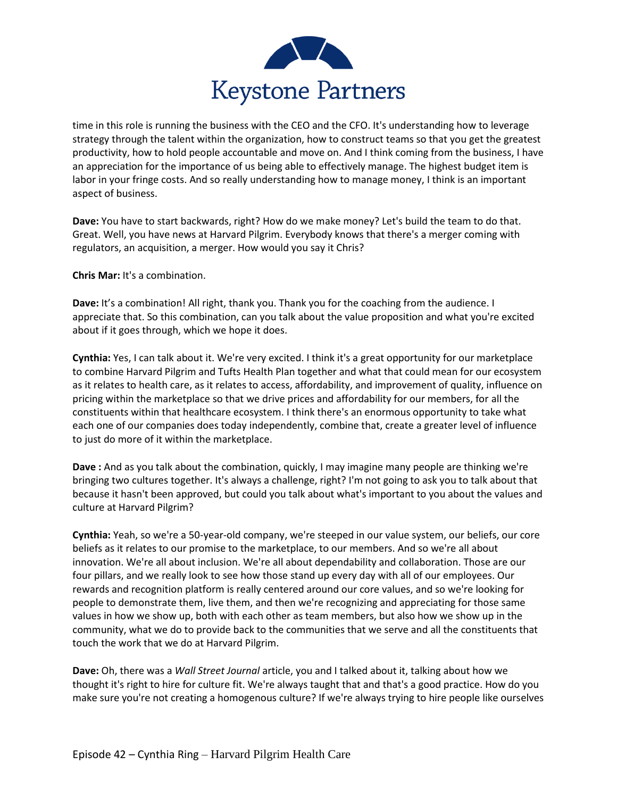

time in this role is running the business with the CEO and the CFO. It's understanding how to leverage strategy through the talent within the organization, how to construct teams so that you get the greatest productivity, how to hold people accountable and move on. And I think coming from the business, I have an appreciation for the importance of us being able to effectively manage. The highest budget item is labor in your fringe costs. And so really understanding how to manage money, I think is an important aspect of business.

**Dave:** You have to start backwards, right? How do we make money? Let's build the team to do that. Great. Well, you have news at Harvard Pilgrim. Everybody knows that there's a merger coming with regulators, an acquisition, a merger. How would you say it Chris?

**Chris Mar:** It's a combination.

**Dave:** It's a combination! All right, thank you. Thank you for the coaching from the audience. I appreciate that. So this combination, can you talk about the value proposition and what you're excited about if it goes through, which we hope it does.

**Cynthia:** Yes, I can talk about it. We're very excited. I think it's a great opportunity for our marketplace to combine Harvard Pilgrim and Tufts Health Plan together and what that could mean for our ecosystem as it relates to health care, as it relates to access, affordability, and improvement of quality, influence on pricing within the marketplace so that we drive prices and affordability for our members, for all the constituents within that healthcare ecosystem. I think there's an enormous opportunity to take what each one of our companies does today independently, combine that, create a greater level of influence to just do more of it within the marketplace.

**Dave :** And as you talk about the combination, quickly, I may imagine many people are thinking we're bringing two cultures together. It's always a challenge, right? I'm not going to ask you to talk about that because it hasn't been approved, but could you talk about what's important to you about the values and culture at Harvard Pilgrim?

**Cynthia:** Yeah, so we're a 50-year-old company, we're steeped in our value system, our beliefs, our core beliefs as it relates to our promise to the marketplace, to our members. And so we're all about innovation. We're all about inclusion. We're all about dependability and collaboration. Those are our four pillars, and we really look to see how those stand up every day with all of our employees. Our rewards and recognition platform is really centered around our core values, and so we're looking for people to demonstrate them, live them, and then we're recognizing and appreciating for those same values in how we show up, both with each other as team members, but also how we show up in the community, what we do to provide back to the communities that we serve and all the constituents that touch the work that we do at Harvard Pilgrim.

**Dave:** Oh, there was a *Wall Street Journal* article, you and I talked about it, talking about how we thought it's right to hire for culture fit. We're always taught that and that's a good practice. How do you make sure you're not creating a homogenous culture? If we're always trying to hire people like ourselves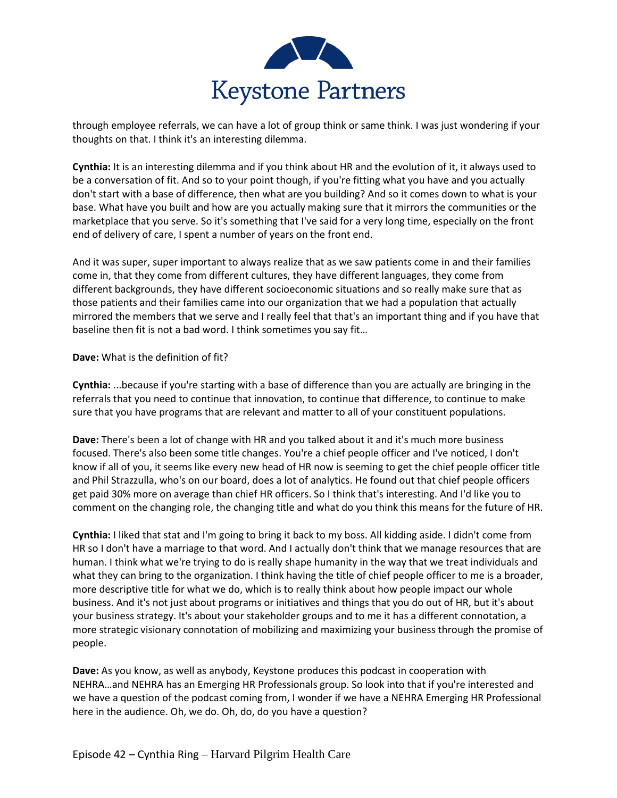

through employee referrals, we can have a lot of group think or same think. I was just wondering if your thoughts on that. I think it's an interesting dilemma.

**Cynthia:** It is an interesting dilemma and if you think about HR and the evolution of it, it always used to be a conversation of fit. And so to your point though, if you're fitting what you have and you actually don't start with a base of difference, then what are you building? And so it comes down to what is your base. What have you built and how are you actually making sure that it mirrors the communities or the marketplace that you serve. So it's something that I've said for a very long time, especially on the front end of delivery of care, I spent a number of years on the front end.

And it was super, super important to always realize that as we saw patients come in and their families come in, that they come from different cultures, they have different languages, they come from different backgrounds, they have different socioeconomic situations and so really make sure that as those patients and their families came into our organization that we had a population that actually mirrored the members that we serve and I really feel that that's an important thing and if you have that baseline then fit is not a bad word. I think sometimes you say fit…

## **Dave:** What is the definition of fit?

**Cynthia:** ...because if you're starting with a base of difference than you are actually are bringing in the referrals that you need to continue that innovation, to continue that difference, to continue to make sure that you have programs that are relevant and matter to all of your constituent populations.

**Dave:** There's been a lot of change with HR and you talked about it and it's much more business focused. There's also been some title changes. You're a chief people officer and I've noticed, I don't know if all of you, it seems like every new head of HR now is seeming to get the chief people officer title and Phil Strazzulla, who's on our board, does a lot of analytics. He found out that chief people officers get paid 30% more on average than chief HR officers. So I think that's interesting. And I'd like you to comment on the changing role, the changing title and what do you think this means for the future of HR.

**Cynthia:** I liked that stat and I'm going to bring it back to my boss. All kidding aside. I didn't come from HR so I don't have a marriage to that word. And I actually don't think that we manage resources that are human. I think what we're trying to do is really shape humanity in the way that we treat individuals and what they can bring to the organization. I think having the title of chief people officer to me is a broader, more descriptive title for what we do, which is to really think about how people impact our whole business. And it's not just about programs or initiatives and things that you do out of HR, but it's about your business strategy. It's about your stakeholder groups and to me it has a different connotation, a more strategic visionary connotation of mobilizing and maximizing your business through the promise of people.

**Dave:** As you know, as well as anybody, Keystone produces this podcast in cooperation with NEHRA…and NEHRA has an Emerging HR Professionals group. So look into that if you're interested and we have a question of the podcast coming from, I wonder if we have a NEHRA Emerging HR Professional here in the audience. Oh, we do. Oh, do, do you have a question?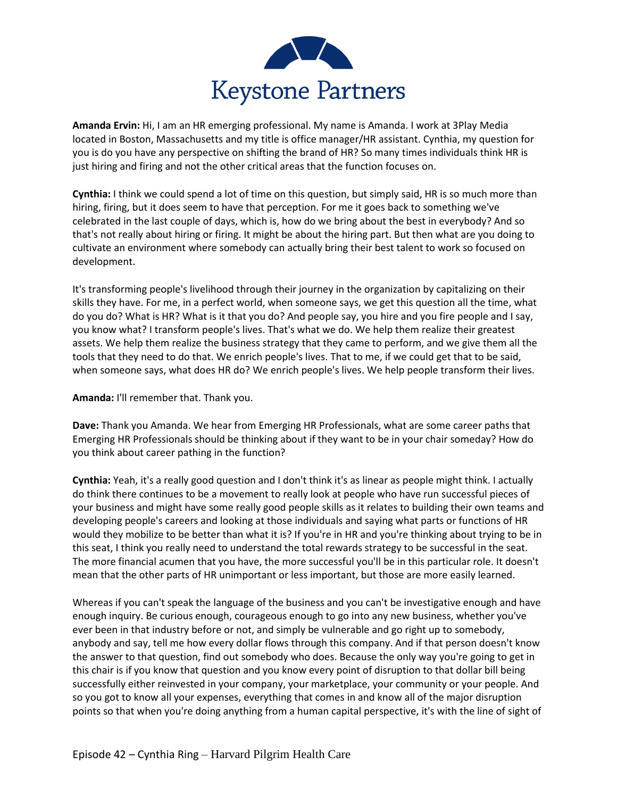

**Amanda Ervin:** Hi, I am an HR emerging professional. My name is Amanda. I work at 3Play Media located in Boston, Massachusetts and my title is office manager/HR assistant. Cynthia, my question for you is do you have any perspective on shifting the brand of HR? So many times individuals think HR is just hiring and firing and not the other critical areas that the function focuses on.

**Cynthia:** I think we could spend a lot of time on this question, but simply said, HR is so much more than hiring, firing, but it does seem to have that perception. For me it goes back to something we've celebrated in the last couple of days, which is, how do we bring about the best in everybody? And so that's not really about hiring or firing. It might be about the hiring part. But then what are you doing to cultivate an environment where somebody can actually bring their best talent to work so focused on development.

It's transforming people's livelihood through their journey in the organization by capitalizing on their skills they have. For me, in a perfect world, when someone says, we get this question all the time, what do you do? What is HR? What is it that you do? And people say, you hire and you fire people and I say, you know what? I transform people's lives. That's what we do. We help them realize their greatest assets. We help them realize the business strategy that they came to perform, and we give them all the tools that they need to do that. We enrich people's lives. That to me, if we could get that to be said, when someone says, what does HR do? We enrich people's lives. We help people transform their lives.

**Amanda:** I'll remember that. Thank you.

**Dave:** Thank you Amanda. We hear from Emerging HR Professionals, what are some career paths that Emerging HR Professionals should be thinking about if they want to be in your chair someday? How do you think about career pathing in the function?

**Cynthia:** Yeah, it's a really good question and I don't think it's as linear as people might think. I actually do think there continues to be a movement to really look at people who have run successful pieces of your business and might have some really good people skills as it relates to building their own teams and developing people's careers and looking at those individuals and saying what parts or functions of HR would they mobilize to be better than what it is? If you're in HR and you're thinking about trying to be in this seat, I think you really need to understand the total rewards strategy to be successful in the seat. The more financial acumen that you have, the more successful you'll be in this particular role. It doesn't mean that the other parts of HR unimportant or less important, but those are more easily learned.

Whereas if you can't speak the language of the business and you can't be investigative enough and have enough inquiry. Be curious enough, courageous enough to go into any new business, whether you've ever been in that industry before or not, and simply be vulnerable and go right up to somebody, anybody and say, tell me how every dollar flows through this company. And if that person doesn't know the answer to that question, find out somebody who does. Because the only way you're going to get in this chair is if you know that question and you know every point of disruption to that dollar bill being successfully either reinvested in your company, your marketplace, your community or your people. And so you got to know all your expenses, everything that comes in and know all of the major disruption points so that when you're doing anything from a human capital perspective, it's with the line of sight of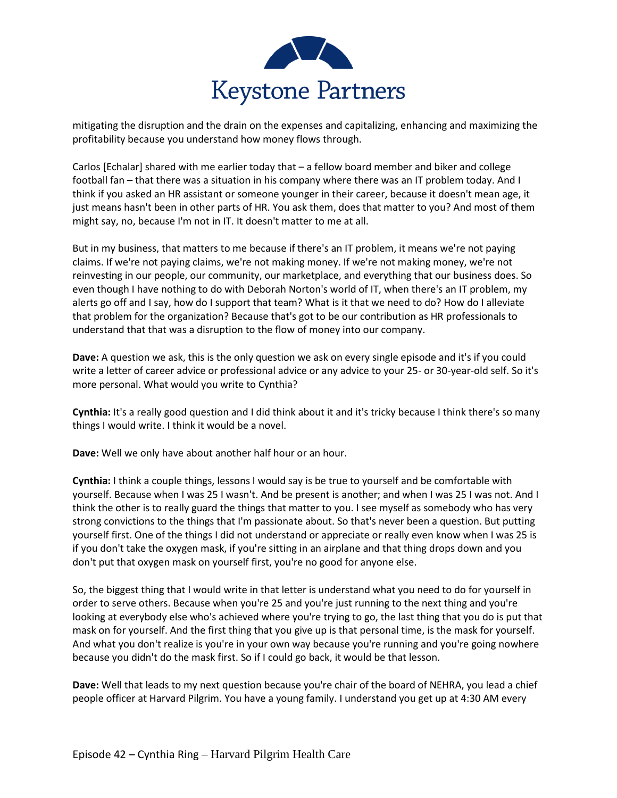

mitigating the disruption and the drain on the expenses and capitalizing, enhancing and maximizing the profitability because you understand how money flows through.

Carlos [Echalar] shared with me earlier today that – a fellow board member and biker and college football fan – that there was a situation in his company where there was an IT problem today. And I think if you asked an HR assistant or someone younger in their career, because it doesn't mean age, it just means hasn't been in other parts of HR. You ask them, does that matter to you? And most of them might say, no, because I'm not in IT. It doesn't matter to me at all.

But in my business, that matters to me because if there's an IT problem, it means we're not paying claims. If we're not paying claims, we're not making money. If we're not making money, we're not reinvesting in our people, our community, our marketplace, and everything that our business does. So even though I have nothing to do with Deborah Norton's world of IT, when there's an IT problem, my alerts go off and I say, how do I support that team? What is it that we need to do? How do I alleviate that problem for the organization? Because that's got to be our contribution as HR professionals to understand that that was a disruption to the flow of money into our company.

**Dave:** A question we ask, this is the only question we ask on every single episode and it's if you could write a letter of career advice or professional advice or any advice to your 25- or 30-year-old self. So it's more personal. What would you write to Cynthia?

**Cynthia:** It's a really good question and I did think about it and it's tricky because I think there's so many things I would write. I think it would be a novel.

**Dave:** Well we only have about another half hour or an hour.

**Cynthia:** I think a couple things, lessons I would say is be true to yourself and be comfortable with yourself. Because when I was 25 I wasn't. And be present is another; and when I was 25 I was not. And I think the other is to really guard the things that matter to you. I see myself as somebody who has very strong convictions to the things that I'm passionate about. So that's never been a question. But putting yourself first. One of the things I did not understand or appreciate or really even know when I was 25 is if you don't take the oxygen mask, if you're sitting in an airplane and that thing drops down and you don't put that oxygen mask on yourself first, you're no good for anyone else.

So, the biggest thing that I would write in that letter is understand what you need to do for yourself in order to serve others. Because when you're 25 and you're just running to the next thing and you're looking at everybody else who's achieved where you're trying to go, the last thing that you do is put that mask on for yourself. And the first thing that you give up is that personal time, is the mask for yourself. And what you don't realize is you're in your own way because you're running and you're going nowhere because you didn't do the mask first. So if I could go back, it would be that lesson.

**Dave:** Well that leads to my next question because you're chair of the board of NEHRA, you lead a chief people officer at Harvard Pilgrim. You have a young family. I understand you get up at 4:30 AM every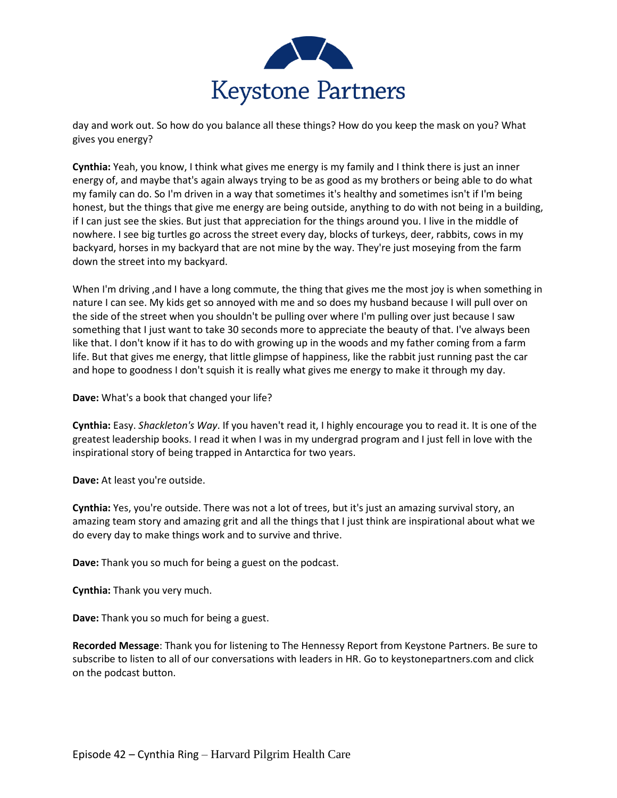

day and work out. So how do you balance all these things? How do you keep the mask on you? What gives you energy?

**Cynthia:** Yeah, you know, I think what gives me energy is my family and I think there is just an inner energy of, and maybe that's again always trying to be as good as my brothers or being able to do what my family can do. So I'm driven in a way that sometimes it's healthy and sometimes isn't if I'm being honest, but the things that give me energy are being outside, anything to do with not being in a building, if I can just see the skies. But just that appreciation for the things around you. I live in the middle of nowhere. I see big turtles go across the street every day, blocks of turkeys, deer, rabbits, cows in my backyard, horses in my backyard that are not mine by the way. They're just moseying from the farm down the street into my backyard.

When I'm driving ,and I have a long commute, the thing that gives me the most joy is when something in nature I can see. My kids get so annoyed with me and so does my husband because I will pull over on the side of the street when you shouldn't be pulling over where I'm pulling over just because I saw something that I just want to take 30 seconds more to appreciate the beauty of that. I've always been like that. I don't know if it has to do with growing up in the woods and my father coming from a farm life. But that gives me energy, that little glimpse of happiness, like the rabbit just running past the car and hope to goodness I don't squish it is really what gives me energy to make it through my day.

**Dave:** What's a book that changed your life?

**Cynthia:** Easy. *Shackleton's Way*. If you haven't read it, I highly encourage you to read it. It is one of the greatest leadership books. I read it when I was in my undergrad program and I just fell in love with the inspirational story of being trapped in Antarctica for two years.

**Dave:** At least you're outside.

**Cynthia:** Yes, you're outside. There was not a lot of trees, but it's just an amazing survival story, an amazing team story and amazing grit and all the things that I just think are inspirational about what we do every day to make things work and to survive and thrive.

**Dave:** Thank you so much for being a guest on the podcast.

**Cynthia:** Thank you very much.

**Dave:** Thank you so much for being a guest.

**Recorded Message**: Thank you for listening to The Hennessy Report from Keystone Partners. Be sure to subscribe to listen to all of our conversations with leaders in HR. Go to keystonepartners.com and click on the podcast button.